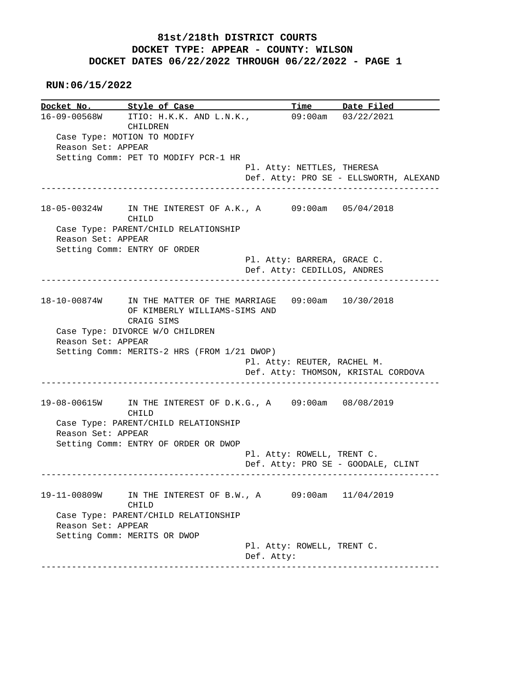#### **RUN:06/15/2022**

**Docket No. Style of Case Time Date Filed**  16-09-00568W ITIO: H.K.K. AND L.N.K., 09:00am 03/22/2021 CHILDREN Case Type: MOTION TO MODIFY Reason Set: APPEAR Setting Comm: PET TO MODIFY PCR-1 HR Pl. Atty: NETTLES, THERESA Def. Atty: PRO SE - ELLSWORTH, ALEXAND ------------------------------------------------------------------------------ 18-05-00324W IN THE INTEREST OF A.K., A 09:00am 05/04/2018 CHILD Case Type: PARENT/CHILD RELATIONSHIP Reason Set: APPEAR Setting Comm: ENTRY OF ORDER Pl. Atty: BARRERA, GRACE C. Def. Atty: CEDILLOS, ANDRES ------------------------------------------------------------------------------ 18-10-00874W IN THE MATTER OF THE MARRIAGE 09:00am 10/30/2018 OF KIMBERLY WILLIAMS-SIMS AND CRAIG SIMS Case Type: DIVORCE W/O CHILDREN Reason Set: APPEAR Setting Comm: MERITS-2 HRS (FROM 1/21 DWOP) Pl. Atty: REUTER, RACHEL M. Def. Atty: THOMSON, KRISTAL CORDOVA ------------------------------------------------------------------------------ 19-08-00615W IN THE INTEREST OF D.K.G., A 09:00am 08/08/2019 CHILD Case Type: PARENT/CHILD RELATIONSHIP Reason Set: APPEAR Setting Comm: ENTRY OF ORDER OR DWOP Pl. Atty: ROWELL, TRENT C. Def. Atty: PRO SE - GOODALE, CLINT ------------------------------------------------------------------------------ 19-11-00809W IN THE INTEREST OF B.W., A 09:00am 11/04/2019 CHILD Case Type: PARENT/CHILD RELATIONSHIP Reason Set: APPEAR Setting Comm: MERITS OR DWOP Pl. Atty: ROWELL, TRENT C. Def. Atty: ------------------------------------------------------------------------------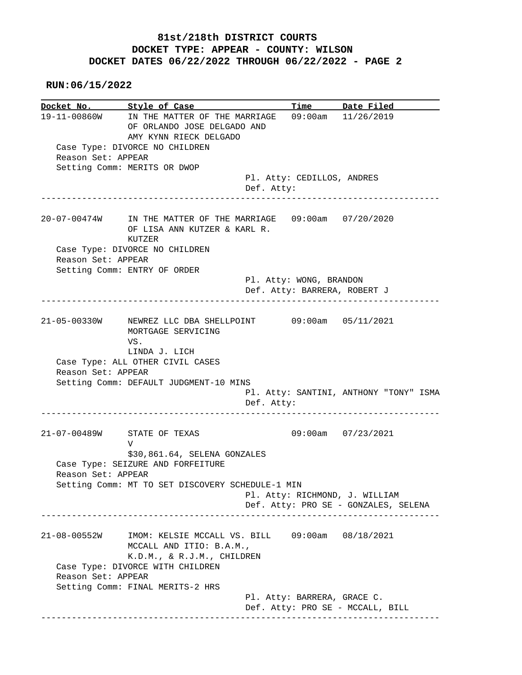**RUN:06/15/2022**

**Docket No. Style of Case Time Date Filed**  19-11-00860W IN THE MATTER OF THE MARRIAGE 09:00am 11/26/2019 OF ORLANDO JOSE DELGADO AND AMY KYNN RIECK DELGADO Case Type: DIVORCE NO CHILDREN Reason Set: APPEAR Setting Comm: MERITS OR DWOP Pl. Atty: CEDILLOS, ANDRES Def. Atty: ------------------------------------------------------------------------------ 20-07-00474W IN THE MATTER OF THE MARRIAGE 09:00am 07/20/2020 OF LISA ANN KUTZER & KARL R. KUTZER Case Type: DIVORCE NO CHILDREN Reason Set: APPEAR Setting Comm: ENTRY OF ORDER Pl. Atty: WONG, BRANDON Def. Atty: BARRERA, ROBERT J ------------------------------------------------------------------------------ 21-05-00330W NEWREZ LLC DBA SHELLPOINT 09:00am 05/11/2021 MORTGAGE SERVICING VS. LINDA J. LICH Case Type: ALL OTHER CIVIL CASES Reason Set: APPEAR Setting Comm: DEFAULT JUDGMENT-10 MINS Pl. Atty: SANTINI, ANTHONY "TONY" ISMA Def. Atty: ------------------------------------------------------------------------------ 21-07-00489W STATE OF TEXAS 09:00am 07/23/2021 V \$30,861.64, SELENA GONZALES Case Type: SEIZURE AND FORFEITURE Reason Set: APPEAR Setting Comm: MT TO SET DISCOVERY SCHEDULE-1 MIN Pl. Atty: RICHMOND, J. WILLIAM Def. Atty: PRO SE - GONZALES, SELENA ------------------------------------------------------------------------------ 21-08-00552W IMOM: KELSIE MCCALL VS. BILL 09:00am 08/18/2021 MCCALL AND ITIO: B.A.M., K.D.M., & R.J.M., CHILDREN Case Type: DIVORCE WITH CHILDREN Reason Set: APPEAR Setting Comm: FINAL MERITS-2 HRS Pl. Atty: BARRERA, GRACE C. Def. Atty: PRO SE - MCCALL, BILL ------------------------------------------------------------------------------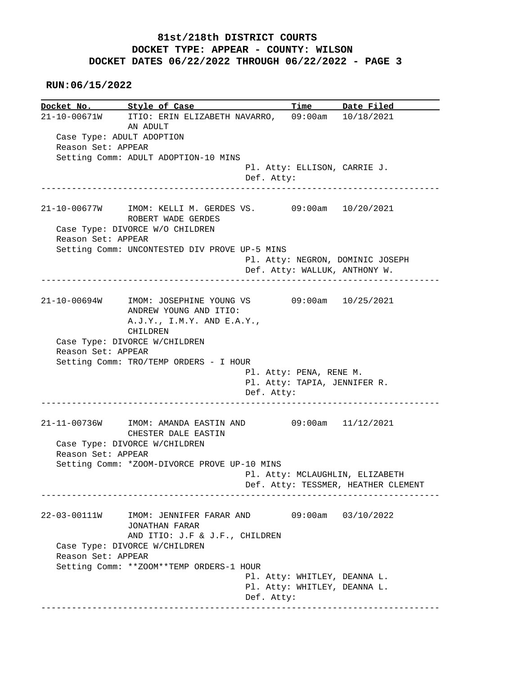**RUN:06/15/2022**

|                           | Docket No. 5tyle of Case                                  |                                     | <u>Time Date Filed</u>              |
|---------------------------|-----------------------------------------------------------|-------------------------------------|-------------------------------------|
|                           | 21-10-00671W ITIO: ERIN ELIZABETH NAVARRO,                |                                     | $09:00$ am $10/18/2021$             |
|                           | AN ADULT                                                  |                                     |                                     |
| Case Type: ADULT ADOPTION |                                                           |                                     |                                     |
| Reason Set: APPEAR        |                                                           |                                     |                                     |
|                           | Setting Comm: ADULT ADOPTION-10 MINS                      |                                     |                                     |
|                           |                                                           | Pl. Atty: ELLISON, CARRIE J.        |                                     |
|                           |                                                           | Def. Atty:                          |                                     |
|                           |                                                           |                                     |                                     |
|                           |                                                           |                                     |                                     |
|                           | 21-10-00677W IMOM: KELLI M. GERDES VS. 09:00am 10/20/2021 |                                     |                                     |
|                           | ROBERT WADE GERDES                                        |                                     |                                     |
|                           | Case Type: DIVORCE W/O CHILDREN                           |                                     |                                     |
| Reason Set: APPEAR        |                                                           |                                     |                                     |
|                           | Setting Comm: UNCONTESTED DIV PROVE UP-5 MINS             |                                     |                                     |
|                           |                                                           | Pl. Atty: NEGRON, DOMINIC JOSEPH    |                                     |
|                           |                                                           | Def. Atty: WALLUK, ANTHONY W.       |                                     |
|                           |                                                           | ___________________________________ |                                     |
|                           |                                                           |                                     |                                     |
|                           | 21-10-00694W IMOM: JOSEPHINE YOUNG VS                     |                                     | 09:00am 10/25/2021                  |
|                           | ANDREW YOUNG AND ITIO:                                    |                                     |                                     |
|                           | A.J.Y., I.M.Y. AND E.A.Y.,                                |                                     |                                     |
|                           | CHILDREN                                                  |                                     |                                     |
|                           |                                                           |                                     |                                     |
|                           |                                                           |                                     |                                     |
|                           | Case Type: DIVORCE W/CHILDREN                             |                                     |                                     |
| Reason Set: APPEAR        |                                                           |                                     |                                     |
|                           | Setting Comm: TRO/TEMP ORDERS - I HOUR                    |                                     |                                     |
|                           |                                                           | Pl. Atty: PENA, RENE M.             |                                     |
|                           |                                                           | Pl. Atty: TAPIA, JENNIFER R.        |                                     |
|                           |                                                           | Def. Atty:                          |                                     |
|                           | ---------------                                           |                                     |                                     |
|                           |                                                           |                                     |                                     |
|                           | 21-11-00736W IMOM: AMANDA EASTIN AND 09:00am 11/12/2021   |                                     |                                     |
|                           | CHESTER DALE EASTIN                                       |                                     |                                     |
|                           | Case Type: DIVORCE W/CHILDREN                             |                                     |                                     |
| Reason Set: APPEAR        |                                                           |                                     |                                     |
|                           | Setting Comm: *ZOOM-DIVORCE PROVE UP-10 MINS              |                                     |                                     |
|                           |                                                           | Pl. Atty: MCLAUGHLIN, ELIZABETH     |                                     |
|                           |                                                           |                                     | Def. Atty: TESSMER, HEATHER CLEMENT |
|                           |                                                           |                                     |                                     |
|                           |                                                           |                                     |                                     |
| 22-03-00111W              | IMOM: JENNIFER FARAR AND                                  |                                     | $09:00am$ $03/10/2022$              |
|                           | <b>JONATHAN FARAR</b>                                     |                                     |                                     |
|                           | AND ITIO: J.F & J.F., CHILDREN                            |                                     |                                     |
|                           | Case Type: DIVORCE W/CHILDREN                             |                                     |                                     |
| Reason Set: APPEAR        |                                                           |                                     |                                     |
|                           | Setting Comm: **ZOOM**TEMP ORDERS-1 HOUR                  |                                     |                                     |
|                           |                                                           | Pl. Atty: WHITLEY, DEANNA L.        |                                     |
|                           |                                                           | Pl. Atty: WHITLEY, DEANNA L.        |                                     |